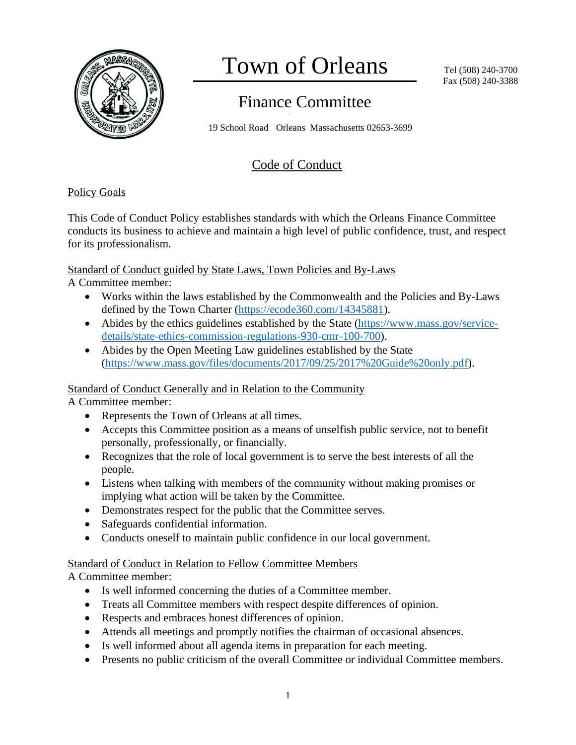

# Town of Orleans

## Finance Committee

19 School Road Orleans Massachusetts 02653-3699

### Code of Conduct

#### Policy Goals

This Code of Conduct Policy establishes standards with which the Orleans Finance Committee conducts its business to achieve and maintain a high level of public confidence, trust, and respect for its professionalism.

Standard of Conduct guided by State Laws, Town Policies and By-Laws

A Committee member:

- Works within the laws established by the Commonwealth and the Policies and By-Laws defined by the Town Charter [\(https://ecode360.com/14345881\)](https://ecode360.com/14345881).
- Abides by the ethics guidelines established by the State [\(https://www.mass.gov/service](https://www.mass.gov/service-details/state-ethics-commission-regulations-930-cmr-100-700)[details/state-ethics-commission-regulations-930-cmr-100-700\)](https://www.mass.gov/service-details/state-ethics-commission-regulations-930-cmr-100-700).
- Abides by the Open Meeting Law guidelines established by the State [\(https://www.mass.gov/files/documents/2017/09/25/2017%20Guide%20only.pdf\)](https://www.mass.gov/files/documents/2017/09/25/2017%20Guide%20only.pdf).

#### Standard of Conduct Generally and in Relation to the Community

A Committee member:

- Represents the Town of Orleans at all times.
- Accepts this Committee position as a means of unselfish public service, not to benefit personally, professionally, or financially.
- Recognizes that the role of local government is to serve the best interests of all the people.
- Listens when talking with members of the community without making promises or implying what action will be taken by the Committee.
- Demonstrates respect for the public that the Committee serves.
- Safeguards confidential information.
- Conducts oneself to maintain public confidence in our local government.

#### Standard of Conduct in Relation to Fellow Committee Members

A Committee member:

- Is well informed concerning the duties of a Committee member.
- Treats all Committee members with respect despite differences of opinion.
- Respects and embraces honest differences of opinion.
- Attends all meetings and promptly notifies the chairman of occasional absences.
- Is well informed about all agenda items in preparation for each meeting.
- Presents no public criticism of the overall Committee or individual Committee members.